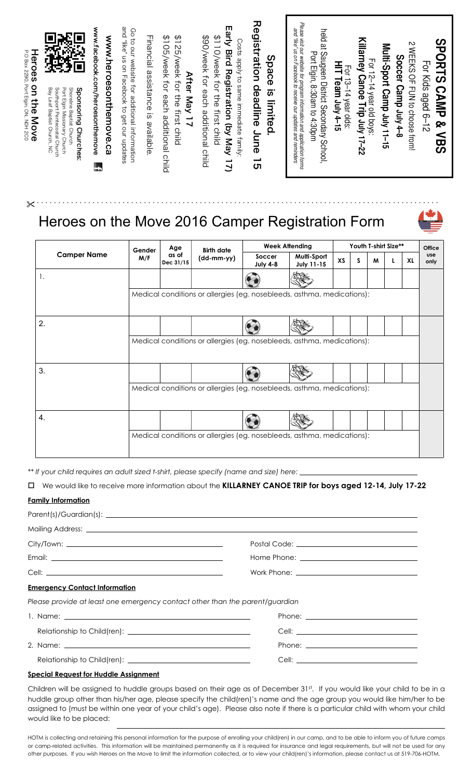| Heroes<br><b>P.O Box 2290, Port Elgin, ON, NOH 2CO</b><br>on the Move | を<br>この<br>オー<br>嵍<br>ģ,<br>\$<br>$\Box$<br>Э<br>Port Elgin Missionary Church<br>Bay Leaf Baptist Church, NC<br>Shoreline Baptist Church | www.facebook.com/heroesonthemove<br>www.heroesonthemove.ca | and "like" us on Facebook to get our updates<br>Go to orly sepaite tor additional information | Financial assistance is available | <b>\$125/Week tor the first child</b><br>\$105/week for each additional child<br>After May 17 | Early Bird Registration (by May 17)<br>\$110/week for the first child<br>\$90/week for each additional child<br>Costs apply to same immediate family | Registration deadline 15<br>Space is limited. | Please visit our website for program information and application forms<br>and "like" us on Facebook to receive our updates and reminders<br>held at Saugeen District Secondary School,<br>Port Elgin, 8:30am to 4:30pm | HIT Team July 4-15<br>For 13-14 year olds: | For 12–14 year old boys:<br>Killarney Canoe Trip July 17–22 | Multi-Sport Camp July 11-15 | N NHERS OF TUN to choose from<br>Soccer Camp July 4-8 | <b>SBORTS CAMP &amp; VBS</b><br>For Kids aged 6-12 |
|-----------------------------------------------------------------------|------------------------------------------------------------------------------------------------------------------------------------------|------------------------------------------------------------|-----------------------------------------------------------------------------------------------|-----------------------------------|-----------------------------------------------------------------------------------------------|------------------------------------------------------------------------------------------------------------------------------------------------------|-----------------------------------------------|------------------------------------------------------------------------------------------------------------------------------------------------------------------------------------------------------------------------|--------------------------------------------|-------------------------------------------------------------|-----------------------------|-------------------------------------------------------|----------------------------------------------------|
| ∼                                                                     | Southport Pentecostal Church<br>Sponsoring Churches:                                                                                     | Ŀ                                                          |                                                                                               |                                   |                                                                                               |                                                                                                                                                      |                                               |                                                                                                                                                                                                                        |                                            |                                                             |                             |                                                       |                                                    |

## Heroes on the Move 2016 Camper Registration Form

| Heroes<br>on the Move | Shoreline Baptist Church<br>Bay Leaf Baptist Church, NC<br>Southport Pentecostal Church<br>Port Elgin Missionary Church<br>Sponsoring Churches | www.facebook.com/heroesonthemove<br>www.heroesonthemove.ca | and "like" us on Facebook to get our updates<br>Go to our website for additional information | Financial assistance is available | \$105/week for each additional child<br><b>\$125/yeek tor the first child</b><br>After May 17 | Farly Dird Registration (by May<br>\$110/Week the tirst child<br>\$90/week for each additional child<br>Costs apply to same immediate family;<br>$\overline{2}$                                                                                                                                                                                                                                                                                                                                           | Registration deadline<br>June<br>Space<br>is limited<br>ທ | Please visit our website for program information and application forms<br>and "like" us on Facebook to receive our updates and reminders<br>held at Saugeen District Secondary School<br>Port Elgin, 8:30am to 4:30pm | HIT Team July 4-15<br>For 13-14 year olds: | For 12–14 year old boys:<br>Killarney Canoe Trip July 17–22 | Multi-Sport Camp July 11-15 | Soccer Camp July 4-8 | $\mathsf{r}$<br><b>NERS OF EVA to choose trom:</b> | <b>SHORTS CAMP &amp; VBS</b><br>For Kids aged 6-12 |
|-----------------------|------------------------------------------------------------------------------------------------------------------------------------------------|------------------------------------------------------------|----------------------------------------------------------------------------------------------|-----------------------------------|-----------------------------------------------------------------------------------------------|-----------------------------------------------------------------------------------------------------------------------------------------------------------------------------------------------------------------------------------------------------------------------------------------------------------------------------------------------------------------------------------------------------------------------------------------------------------------------------------------------------------|-----------------------------------------------------------|-----------------------------------------------------------------------------------------------------------------------------------------------------------------------------------------------------------------------|--------------------------------------------|-------------------------------------------------------------|-----------------------------|----------------------|----------------------------------------------------|----------------------------------------------------|
|                       |                                                                                                                                                |                                                            |                                                                                              |                                   |                                                                                               | Heroes on the Move 2016 Camper Registration Form                                                                                                                                                                                                                                                                                                                                                                                                                                                          |                                                           |                                                                                                                                                                                                                       |                                            |                                                             |                             |                      |                                                    |                                                    |
|                       |                                                                                                                                                |                                                            |                                                                                              |                                   | Age                                                                                           |                                                                                                                                                                                                                                                                                                                                                                                                                                                                                                           |                                                           | <b>Week Attending</b>                                                                                                                                                                                                 |                                            |                                                             |                             | Youth T-shirt Size** |                                                    | Office                                             |
|                       | <b>Camper Name</b>                                                                                                                             |                                                            |                                                                                              | Gender<br>M/F                     | as of<br>Dec 31/15                                                                            | <b>Birth date</b><br>(dd-mm-yy)                                                                                                                                                                                                                                                                                                                                                                                                                                                                           | Soccer                                                    | Multi-Sport                                                                                                                                                                                                           | XS                                         | S                                                           | M                           | L                    | XL                                                 | use<br>only                                        |
|                       | 1.                                                                                                                                             |                                                            |                                                                                              |                                   |                                                                                               |                                                                                                                                                                                                                                                                                                                                                                                                                                                                                                           | <b>July 4-8</b>                                           | <b>July 11-15</b>                                                                                                                                                                                                     |                                            |                                                             |                             |                      |                                                    |                                                    |
|                       |                                                                                                                                                |                                                            |                                                                                              |                                   |                                                                                               | Medical conditions or allergies (eg. nosebleeds, asthma, medications):                                                                                                                                                                                                                                                                                                                                                                                                                                    |                                                           |                                                                                                                                                                                                                       |                                            |                                                             |                             |                      |                                                    |                                                    |
|                       | 2.                                                                                                                                             |                                                            |                                                                                              |                                   |                                                                                               |                                                                                                                                                                                                                                                                                                                                                                                                                                                                                                           |                                                           |                                                                                                                                                                                                                       |                                            |                                                             |                             |                      |                                                    |                                                    |
|                       |                                                                                                                                                |                                                            |                                                                                              |                                   |                                                                                               | Medical conditions or allergies (eg. nosebleeds, asthma, medications):                                                                                                                                                                                                                                                                                                                                                                                                                                    |                                                           |                                                                                                                                                                                                                       |                                            |                                                             |                             |                      |                                                    |                                                    |
|                       |                                                                                                                                                |                                                            |                                                                                              |                                   |                                                                                               |                                                                                                                                                                                                                                                                                                                                                                                                                                                                                                           |                                                           |                                                                                                                                                                                                                       |                                            |                                                             |                             |                      |                                                    |                                                    |
|                       | 3.                                                                                                                                             |                                                            |                                                                                              |                                   |                                                                                               |                                                                                                                                                                                                                                                                                                                                                                                                                                                                                                           |                                                           |                                                                                                                                                                                                                       |                                            |                                                             |                             |                      |                                                    |                                                    |
|                       |                                                                                                                                                |                                                            |                                                                                              |                                   |                                                                                               |                                                                                                                                                                                                                                                                                                                                                                                                                                                                                                           |                                                           |                                                                                                                                                                                                                       |                                            |                                                             |                             |                      |                                                    |                                                    |
|                       |                                                                                                                                                |                                                            |                                                                                              |                                   |                                                                                               | Medical conditions or allergies (eg. nosebleeds, asthma, medications):                                                                                                                                                                                                                                                                                                                                                                                                                                    |                                                           |                                                                                                                                                                                                                       |                                            |                                                             |                             |                      |                                                    |                                                    |
|                       | 4.                                                                                                                                             |                                                            |                                                                                              |                                   |                                                                                               |                                                                                                                                                                                                                                                                                                                                                                                                                                                                                                           |                                                           |                                                                                                                                                                                                                       |                                            |                                                             |                             |                      |                                                    |                                                    |
|                       |                                                                                                                                                |                                                            |                                                                                              |                                   |                                                                                               |                                                                                                                                                                                                                                                                                                                                                                                                                                                                                                           |                                                           |                                                                                                                                                                                                                       |                                            |                                                             |                             |                      |                                                    |                                                    |
|                       |                                                                                                                                                |                                                            |                                                                                              |                                   |                                                                                               | Medical conditions or allergies (eg. nosebleeds, asthma, medications):                                                                                                                                                                                                                                                                                                                                                                                                                                    |                                                           |                                                                                                                                                                                                                       |                                            |                                                             |                             |                      |                                                    |                                                    |
|                       |                                                                                                                                                |                                                            |                                                                                              |                                   |                                                                                               |                                                                                                                                                                                                                                                                                                                                                                                                                                                                                                           |                                                           |                                                                                                                                                                                                                       |                                            |                                                             |                             |                      |                                                    |                                                    |
|                       |                                                                                                                                                |                                                            |                                                                                              |                                   |                                                                                               | $**$ If your child requires an adult sized t-shirt, please specify (name and size) here: $\_\_$                                                                                                                                                                                                                                                                                                                                                                                                           |                                                           |                                                                                                                                                                                                                       |                                            |                                                             |                             |                      |                                                    |                                                    |
|                       |                                                                                                                                                |                                                            |                                                                                              |                                   |                                                                                               | □ We would like to receive more information about the KILLARNEY CANOE TRIP for boys aged 12-14, July 17-22                                                                                                                                                                                                                                                                                                                                                                                                |                                                           |                                                                                                                                                                                                                       |                                            |                                                             |                             |                      |                                                    |                                                    |
|                       | <b>Family Information</b>                                                                                                                      |                                                            |                                                                                              |                                   |                                                                                               |                                                                                                                                                                                                                                                                                                                                                                                                                                                                                                           |                                                           |                                                                                                                                                                                                                       |                                            |                                                             |                             |                      |                                                    |                                                    |
|                       |                                                                                                                                                |                                                            |                                                                                              |                                   |                                                                                               |                                                                                                                                                                                                                                                                                                                                                                                                                                                                                                           |                                                           |                                                                                                                                                                                                                       |                                            |                                                             |                             |                      |                                                    |                                                    |
|                       |                                                                                                                                                |                                                            |                                                                                              |                                   |                                                                                               |                                                                                                                                                                                                                                                                                                                                                                                                                                                                                                           |                                                           |                                                                                                                                                                                                                       |                                            |                                                             |                             |                      |                                                    |                                                    |
|                       |                                                                                                                                                |                                                            |                                                                                              |                                   |                                                                                               |                                                                                                                                                                                                                                                                                                                                                                                                                                                                                                           |                                                           | Postal Code: <u>______________________________</u>                                                                                                                                                                    |                                            |                                                             |                             |                      |                                                    |                                                    |
|                       |                                                                                                                                                |                                                            |                                                                                              |                                   |                                                                                               |                                                                                                                                                                                                                                                                                                                                                                                                                                                                                                           |                                                           |                                                                                                                                                                                                                       |                                            |                                                             |                             |                      |                                                    |                                                    |
|                       |                                                                                                                                                |                                                            |                                                                                              |                                   |                                                                                               |                                                                                                                                                                                                                                                                                                                                                                                                                                                                                                           |                                                           |                                                                                                                                                                                                                       |                                            |                                                             |                             |                      |                                                    |                                                    |
|                       | <b>Emergency Contact Information</b>                                                                                                           |                                                            |                                                                                              |                                   |                                                                                               |                                                                                                                                                                                                                                                                                                                                                                                                                                                                                                           |                                                           |                                                                                                                                                                                                                       |                                            |                                                             |                             |                      |                                                    |                                                    |
|                       |                                                                                                                                                |                                                            |                                                                                              |                                   |                                                                                               | Please provide at least one emergency contact other than the parent/guardian                                                                                                                                                                                                                                                                                                                                                                                                                              |                                                           |                                                                                                                                                                                                                       |                                            |                                                             |                             |                      |                                                    |                                                    |
|                       |                                                                                                                                                |                                                            |                                                                                              |                                   |                                                                                               |                                                                                                                                                                                                                                                                                                                                                                                                                                                                                                           |                                                           |                                                                                                                                                                                                                       |                                            |                                                             |                             |                      |                                                    |                                                    |
|                       |                                                                                                                                                |                                                            |                                                                                              |                                   |                                                                                               |                                                                                                                                                                                                                                                                                                                                                                                                                                                                                                           |                                                           |                                                                                                                                                                                                                       |                                            |                                                             |                             |                      |                                                    |                                                    |
|                       |                                                                                                                                                |                                                            |                                                                                              |                                   |                                                                                               |                                                                                                                                                                                                                                                                                                                                                                                                                                                                                                           |                                                           |                                                                                                                                                                                                                       |                                            |                                                             |                             |                      |                                                    |                                                    |
|                       |                                                                                                                                                |                                                            |                                                                                              |                                   |                                                                                               |                                                                                                                                                                                                                                                                                                                                                                                                                                                                                                           |                                                           |                                                                                                                                                                                                                       |                                            |                                                             |                             |                      |                                                    |                                                    |
|                       | <b>Special Request for Huddle Assignment</b>                                                                                                   |                                                            |                                                                                              |                                   |                                                                                               |                                                                                                                                                                                                                                                                                                                                                                                                                                                                                                           |                                                           |                                                                                                                                                                                                                       |                                            |                                                             |                             |                      |                                                    |                                                    |
|                       | would like to be placed:                                                                                                                       |                                                            |                                                                                              |                                   |                                                                                               | Children will be assigned to huddle groups based on their age as of December 31st. If you would like your child to be in a<br>huddle group other than his/her age, please specify the child(ren)'s name and the age group you would like him/her to be<br>assigned to (must be within one year of your child's age). Please also note if there is a particular child with whom your child                                                                                                                 |                                                           |                                                                                                                                                                                                                       |                                            |                                                             |                             |                      |                                                    |                                                    |
|                       |                                                                                                                                                |                                                            |                                                                                              |                                   |                                                                                               | HOTM is collecting and retaining this personal information for the purpose of enrolling your child(ren) in our camp, and to be able to inform you of future camps<br>or camp-related activities. This information will be maintained permanently as it is required for insurance and legal requirements, but will not be used for any<br>other purposes. If you wish Heroes on the Move to limit the information collected, or to view your child (ren)'s information, please contact us at 519-706-HOTM. |                                                           |                                                                                                                                                                                                                       |                                            |                                                             |                             |                      |                                                    |                                                    |

## o We would like to receive more information about the **KILLARNEY CANOE TRIP for boys aged 12-14, July 17-22**

## **Family Information**

| Mailing Address: Lawrence and Contract and Contract and Contract and Contract and Contract and Contract and Co |  |
|----------------------------------------------------------------------------------------------------------------|--|
|                                                                                                                |  |
|                                                                                                                |  |
|                                                                                                                |  |
| <b>Emergency Contact Information</b>                                                                           |  |
| Please provide at least one emergency contact other than the parent/guardian                                   |  |

|  | Cell: <b>Cell</b> : <b>Cell Cell Cell Cell Cell Cell Cell Cell Cell Cell Cell Cell Cell Cell Cell Cell Cell Cell Cell Cell Cell Cell Cell Cell Cell Cell Cell Cell Cell Cell</b> |
|--|----------------------------------------------------------------------------------------------------------------------------------------------------------------------------------|
|  |                                                                                                                                                                                  |

## **Special Request for Huddle Assignment**